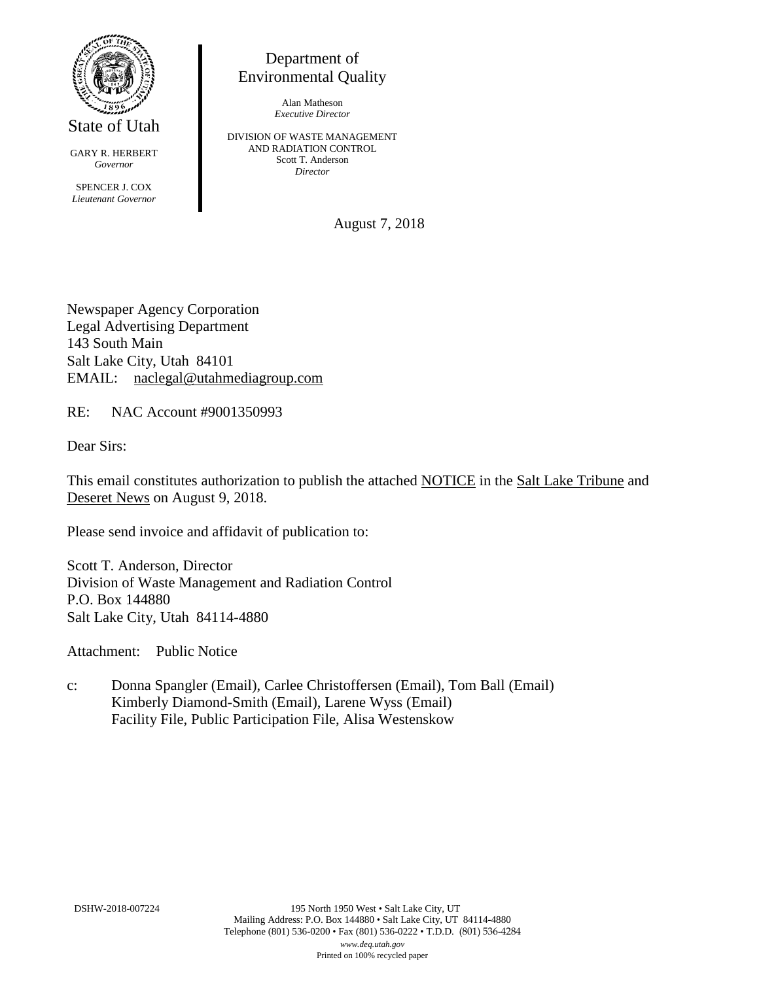

State of Utah

GARY R. HERBERT *Governor* SPENCER J. COX *Lieutenant Governor*

Department of Environmental Quality

> Alan Matheson *Executive Director*

DIVISION OF WASTE MANAGEMENT AND RADIATION CONTROL Scott T. Anderson *Director*

August 7, 2018

Newspaper Agency Corporation Legal Advertising Department 143 South Main Salt Lake City, Utah 84101 EMAIL: naclegal@utahmediagroup.com

RE: NAC Account #9001350993

Dear Sirs:

This email constitutes authorization to publish the attached NOTICE in the Salt Lake Tribune and Deseret News on August 9, 2018.

Please send invoice and affidavit of publication to:

Scott T. Anderson, Director Division of Waste Management and Radiation Control P.O. Box 144880 Salt Lake City, Utah 84114-4880

Attachment: Public Notice

c: Donna Spangler (Email), Carlee Christoffersen (Email), Tom Ball (Email) Kimberly Diamond-Smith (Email), Larene Wyss (Email) Facility File, Public Participation File, Alisa Westenskow